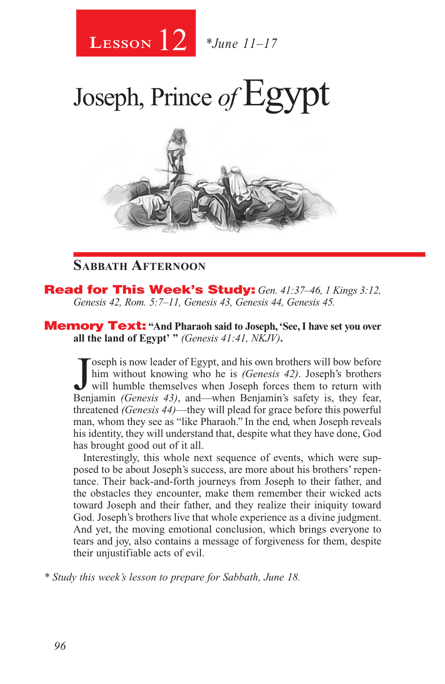

## Joseph, Prince of Egypt



### **Sabbath Afternoon**

Read for This Week's Study: *Gen. 41:37–46, 1 Kings 3:12, Genesis 42, Rom. 5:7–11, Genesis 43, Genesis 44, Genesis 45.*

Memory Text: **"And Pharaoh said to Joseph, 'See, I have set you over all the land of Egypt' "** *(Genesis 41:41, NKJV)***.**

Joseph is now leader of Egypt, and his own brothers will bow before<br>him without knowing who he is *(Genesis 42)*. Joseph's brothers<br>will humble themselves when Joseph forces them to return with<br>Benjamin *(Genesis 43)* and oseph is now leader of Egypt, and his own brothers will bow before him without knowing who he is *(Genesis 42)*. Joseph's brothers Benjamin *(Genesis 43)*, and—when Benjamin's safety is, they fear, threatened *(Genesis 44)*—they will plead for grace before this powerful man, whom they see as "like Pharaoh." In the end, when Joseph reveals his identity, they will understand that, despite what they have done, God has brought good out of it all.

Interestingly, this whole next sequence of events, which were supposed to be about Joseph's success, are more about his brothers' repentance. Their back-and-forth journeys from Joseph to their father, and the obstacles they encounter, make them remember their wicked acts toward Joseph and their father, and they realize their iniquity toward God. Joseph's brothers live that whole experience as a divine judgment. And yet, the moving emotional conclusion, which brings everyone to tears and joy, also contains a message of forgiveness for them, despite their unjustifiable acts of evil.

*\* Study this week's lesson to prepare for Sabbath, June 18.*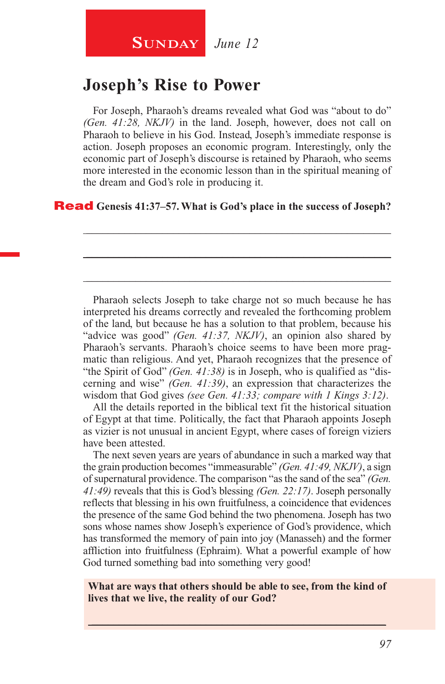## **SUNDAY** June 12

## **Joseph's Rise to Power**

For Joseph, Pharaoh's dreams revealed what God was "about to do" *(Gen. 41:28, NKJV)* in the land. Joseph, however, does not call on Pharaoh to believe in his God. Instead, Joseph's immediate response is action. Joseph proposes an economic program. Interestingly, only the economic part of Joseph's discourse is retained by Pharaoh, who seems more interested in the economic lesson than in the spiritual meaning of the dream and God's role in producing it.

\_\_\_\_\_\_\_\_\_\_\_\_\_\_\_\_\_\_\_\_\_\_\_\_\_\_\_\_\_\_\_\_\_\_\_\_\_\_\_\_\_\_\_\_\_\_\_\_\_\_\_\_\_\_\_\_

\_\_\_\_\_\_\_\_\_\_\_\_\_\_\_\_\_\_\_\_\_\_\_\_\_\_\_\_\_\_\_\_\_\_\_\_\_\_\_\_\_\_\_\_\_\_\_\_\_\_\_\_\_\_\_\_

\_\_\_\_\_\_\_\_\_\_\_\_\_\_\_\_\_\_\_\_\_\_\_\_\_\_\_\_\_\_\_\_\_\_\_\_\_\_\_\_\_\_\_\_\_\_\_\_\_\_\_\_\_\_\_\_

#### Read **Genesis 41:37–57. What is God's place in the success of Joseph?**

Pharaoh selects Joseph to take charge not so much because he has interpreted his dreams correctly and revealed the forthcoming problem of the land, but because he has a solution to that problem, because his "advice was good" *(Gen. 41:37, NKJV)*, an opinion also shared by Pharaoh's servants. Pharaoh's choice seems to have been more pragmatic than religious. And yet, Pharaoh recognizes that the presence of "the Spirit of God" *(Gen. 41:38)* is in Joseph, who is qualified as "discerning and wise" *(Gen. 41:39)*, an expression that characterizes the wisdom that God gives *(see Gen. 41:33; compare with 1 Kings 3:12)*.

All the details reported in the biblical text fit the historical situation of Egypt at that time. Politically, the fact that Pharaoh appoints Joseph as vizier is not unusual in ancient Egypt, where cases of foreign viziers have been attested.

The next seven years are years of abundance in such a marked way that the grain production becomes "immeasurable" *(Gen. 41:49, NKJV)*, a sign of supernatural providence. The comparison "as the sand of the sea" *(Gen. 41:49)* reveals that this is God's blessing *(Gen. 22:17)*. Joseph personally reflects that blessing in his own fruitfulness, a coincidence that evidences the presence of the same God behind the two phenomena. Joseph has two sons whose names show Joseph's experience of God's providence, which has transformed the memory of pain into joy (Manasseh) and the former affliction into fruitfulness (Ephraim). What a powerful example of how God turned something bad into something very good!

**What are ways that others should be able to see, from the kind of lives that we live, the reality of our God?**

 $\_$  , and the set of the set of the set of the set of the set of the set of the set of the set of the set of the set of the set of the set of the set of the set of the set of the set of the set of the set of the set of th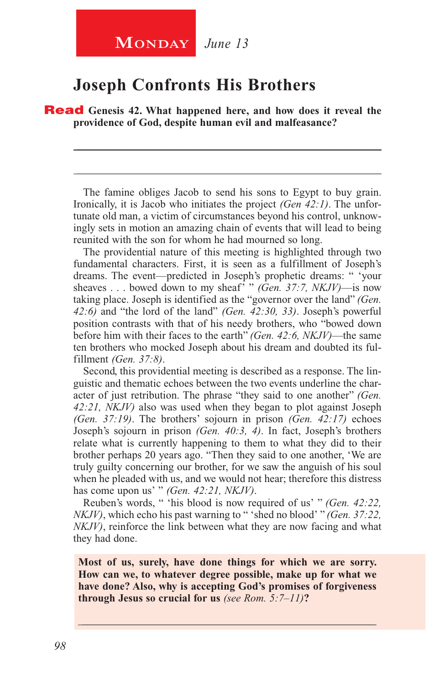## **MONDAY** June 13

## **Joseph Confronts His Brothers**

**Read** Genesis 42. What happened here, and how does it reveal the **providence of God, despite human evil and malfeasance?**

The famine obliges Jacob to send his sons to Egypt to buy grain. Ironically, it is Jacob who initiates the project *(Gen 42:1)*. The unfortunate old man, a victim of circumstances beyond his control, unknowingly sets in motion an amazing chain of events that will lead to being reunited with the son for whom he had mourned so long.

\_\_\_\_\_\_\_\_\_\_\_\_\_\_\_\_\_\_\_\_\_\_\_\_\_\_\_\_\_\_\_\_\_\_\_\_\_\_\_\_\_\_\_\_\_\_\_\_\_\_\_\_\_\_\_\_

\_\_\_\_\_\_\_\_\_\_\_\_\_\_\_\_\_\_\_\_\_\_\_\_\_\_\_\_\_\_\_\_\_\_\_\_\_\_\_\_\_\_\_\_\_\_\_\_\_\_\_\_\_\_\_\_

The providential nature of this meeting is highlighted through two fundamental characters. First, it is seen as a fulfillment of Joseph's dreams. The event—predicted in Joseph's prophetic dreams: " 'your sheaves . . . bowed down to my sheaf' " *(Gen. 37:7, NKJV)*—is now taking place. Joseph is identified as the "governor over the land" *(Gen. 42:6)* and "the lord of the land" *(Gen. 42:30, 33)*. Joseph's powerful position contrasts with that of his needy brothers, who "bowed down before him with their faces to the earth" *(Gen. 42:6, NKJV)*—the same ten brothers who mocked Joseph about his dream and doubted its fulfillment *(Gen. 37:8)*.

Second, this providential meeting is described as a response. The linguistic and thematic echoes between the two events underline the character of just retribution. The phrase "they said to one another" *(Gen. 42:21, NKJV)* also was used when they began to plot against Joseph *(Gen. 37:19)*. The brothers' sojourn in prison *(Gen. 42:17)* echoes Joseph's sojourn in prison *(Gen. 40:3, 4)*. In fact, Joseph's brothers relate what is currently happening to them to what they did to their brother perhaps 20 years ago. "Then they said to one another, 'We are truly guilty concerning our brother, for we saw the anguish of his soul when he pleaded with us, and we would not hear; therefore this distress has come upon us' " *(Gen. 42:21, NKJV)*.

Reuben's words, " 'his blood is now required of us' " *(Gen. 42:22, NKJV)*, which echo his past warning to " 'shed no blood' " *(Gen. 37:22, NKJV)*, reinforce the link between what they are now facing and what they had done.

**Most of us, surely, have done things for which we are sorry. How can we, to whatever degree possible, make up for what we have done? Also, why is accepting God's promises of forgiveness through Jesus so crucial for us** *(see Rom. 5:7–11)***?**

\_\_\_\_\_\_\_\_\_\_\_\_\_\_\_\_\_\_\_\_\_\_\_\_\_\_\_\_\_\_\_\_\_\_\_\_\_\_\_\_\_\_\_\_\_\_\_\_\_\_\_\_\_\_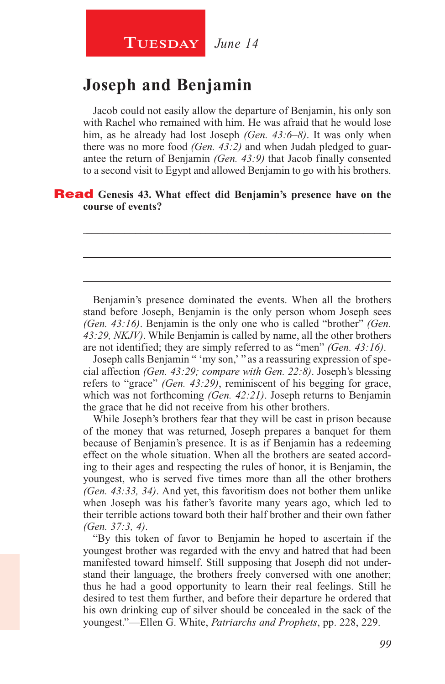## **Tuesday** *June 14*

## **Joseph and Benjamin**

Jacob could not easily allow the departure of Benjamin, his only son with Rachel who remained with him. He was afraid that he would lose him, as he already had lost Joseph *(Gen. 43:6–8)*. It was only when there was no more food *(Gen. 43:2)* and when Judah pledged to guarantee the return of Benjamin *(Gen. 43:9)* that Jacob finally consented to a second visit to Egypt and allowed Benjamin to go with his brothers.

\_\_\_\_\_\_\_\_\_\_\_\_\_\_\_\_\_\_\_\_\_\_\_\_\_\_\_\_\_\_\_\_\_\_\_\_\_\_\_\_\_\_\_\_\_\_\_\_\_\_\_\_\_\_\_\_

\_\_\_\_\_\_\_\_\_\_\_\_\_\_\_\_\_\_\_\_\_\_\_\_\_\_\_\_\_\_\_\_\_\_\_\_\_\_\_\_\_\_\_\_\_\_\_\_\_\_\_\_\_\_\_\_

\_\_\_\_\_\_\_\_\_\_\_\_\_\_\_\_\_\_\_\_\_\_\_\_\_\_\_\_\_\_\_\_\_\_\_\_\_\_\_\_\_\_\_\_\_\_\_\_\_\_\_\_\_\_\_\_

#### Read **Genesis 43. What effect did Benjamin's presence have on the course of events?**

Benjamin's presence dominated the events. When all the brothers stand before Joseph, Benjamin is the only person whom Joseph sees *(Gen. 43:16)*. Benjamin is the only one who is called "brother" *(Gen. 43:29, NKJV)*. While Benjamin is called by name, all the other brothers are not identified; they are simply referred to as "men" *(Gen. 43:16)*.

Joseph calls Benjamin " 'my son,' " as a reassuring expression of special affection *(Gen. 43:29; compare with Gen. 22:8)*. Joseph's blessing refers to "grace" *(Gen. 43:29)*, reminiscent of his begging for grace, which was not forthcoming *(Gen. 42:21)*. Joseph returns to Benjamin the grace that he did not receive from his other brothers.

While Joseph's brothers fear that they will be cast in prison because of the money that was returned, Joseph prepares a banquet for them because of Benjamin's presence. It is as if Benjamin has a redeeming effect on the whole situation. When all the brothers are seated according to their ages and respecting the rules of honor, it is Benjamin, the youngest, who is served five times more than all the other brothers *(Gen. 43:33, 34)*. And yet, this favoritism does not bother them unlike when Joseph was his father's favorite many years ago, which led to their terrible actions toward both their half brother and their own father *(Gen. 37:3, 4)*.

"By this token of favor to Benjamin he hoped to ascertain if the youngest brother was regarded with the envy and hatred that had been manifested toward himself. Still supposing that Joseph did not understand their language, the brothers freely conversed with one another; thus he had a good opportunity to learn their real feelings. Still he desired to test them further, and before their departure he ordered that his own drinking cup of silver should be concealed in the sack of the youngest."—Ellen G. White, *Patriarchs and Prophets*, pp. 228, 229.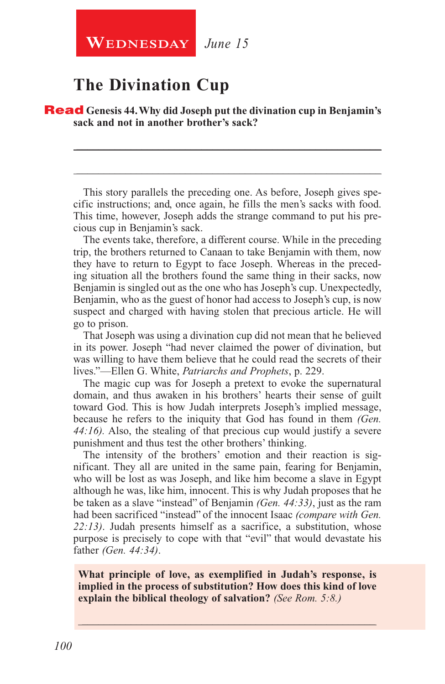## **The Divination Cup**

Read **Genesis 44. Why did Joseph put the divination cup in Benjamin's sack and not in another brother's sack?**

This story parallels the preceding one. As before, Joseph gives specific instructions; and, once again, he fills the men's sacks with food. This time, however, Joseph adds the strange command to put his precious cup in Benjamin's sack.

\_\_\_\_\_\_\_\_\_\_\_\_\_\_\_\_\_\_\_\_\_\_\_\_\_\_\_\_\_\_\_\_\_\_\_\_\_\_\_\_\_\_\_\_\_\_\_\_\_\_\_\_\_\_\_\_

\_\_\_\_\_\_\_\_\_\_\_\_\_\_\_\_\_\_\_\_\_\_\_\_\_\_\_\_\_\_\_\_\_\_\_\_\_\_\_\_\_\_\_\_\_\_\_\_\_\_\_\_\_\_\_\_

The events take, therefore, a different course. While in the preceding trip, the brothers returned to Canaan to take Benjamin with them, now they have to return to Egypt to face Joseph. Whereas in the preceding situation all the brothers found the same thing in their sacks, now Benjamin is singled out as the one who has Joseph's cup. Unexpectedly, Benjamin, who as the guest of honor had access to Joseph's cup, is now suspect and charged with having stolen that precious article. He will go to prison.

That Joseph was using a divination cup did not mean that he believed in its power. Joseph "had never claimed the power of divination, but was willing to have them believe that he could read the secrets of their lives."—Ellen G. White, *Patriarchs and Prophets*, p. 229.

The magic cup was for Joseph a pretext to evoke the supernatural domain, and thus awaken in his brothers' hearts their sense of guilt toward God. This is how Judah interprets Joseph's implied message, because he refers to the iniquity that God has found in them *(Gen. 44:16).* Also, the stealing of that precious cup would justify a severe punishment and thus test the other brothers' thinking.

The intensity of the brothers' emotion and their reaction is significant. They all are united in the same pain, fearing for Benjamin, who will be lost as was Joseph, and like him become a slave in Egypt although he was, like him, innocent. This is why Judah proposes that he be taken as a slave "instead" of Benjamin *(Gen. 44:33)*, just as the ram had been sacrificed "instead" of the innocent Isaac *(compare with Gen. 22:13)*. Judah presents himself as a sacrifice, a substitution, whose purpose is precisely to cope with that "evil" that would devastate his father *(Gen. 44:34)*.

**What principle of love, as exemplified in Judah's response, is implied in the process of substitution? How does this kind of love explain the biblical theology of salvation?** *(See Rom. 5:8.)*

\_\_\_\_\_\_\_\_\_\_\_\_\_\_\_\_\_\_\_\_\_\_\_\_\_\_\_\_\_\_\_\_\_\_\_\_\_\_\_\_\_\_\_\_\_\_\_\_\_\_\_\_\_\_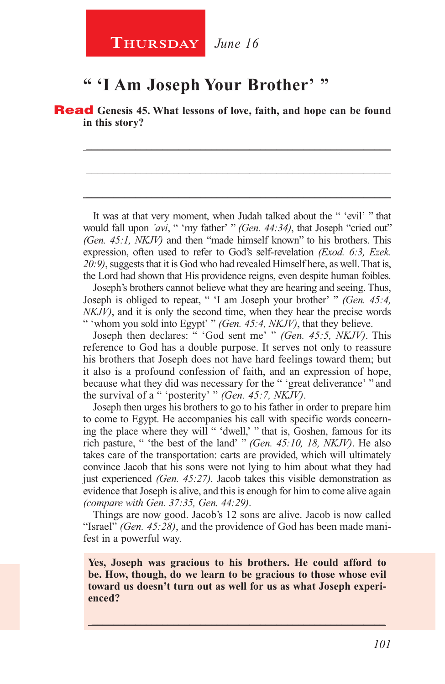## **" 'I Am Joseph Your Brother' "**

Read **Genesis 45. What lessons of love, faith, and hope can be found in this story?**

\_\_\_\_\_\_\_\_\_\_\_\_\_\_\_\_\_\_\_\_\_\_\_\_\_\_\_\_\_\_\_\_\_\_\_\_\_\_\_\_\_\_\_\_\_\_\_\_\_\_\_\_\_\_\_\_

\_\_\_\_\_\_\_\_\_\_\_\_\_\_\_\_\_\_\_\_\_\_\_\_\_\_\_\_\_\_\_\_\_\_\_\_\_\_\_\_\_\_\_\_\_\_\_\_\_\_\_\_\_\_\_\_

\_\_\_\_\_\_\_\_\_\_\_\_\_\_\_\_\_\_\_\_\_\_\_\_\_\_\_\_\_\_\_\_\_\_\_\_\_\_\_\_\_\_\_\_\_\_\_\_\_\_\_\_\_\_\_\_

It was at that very moment, when Judah talked about the " 'evil' " that would fall upon *'avi*, " 'my father' " *(Gen. 44:34)*, that Joseph "cried out" *(Gen. 45:1, NKJV)* and then "made himself known" to his brothers. This expression, often used to refer to God's self-revelation *(Exod. 6:3, Ezek. 20:9)*, suggests that it is God who had revealed Himself here, as well. That is, the Lord had shown that His providence reigns, even despite human foibles.

Joseph's brothers cannot believe what they are hearing and seeing. Thus, Joseph is obliged to repeat, " 'I am Joseph your brother' " *(Gen. 45:4, NKJV)*, and it is only the second time, when they hear the precise words " 'whom you sold into Egypt' " *(Gen. 45:4, NKJV)*, that they believe.

Joseph then declares: " 'God sent me' " *(Gen. 45:5, NKJV)*. This reference to God has a double purpose. It serves not only to reassure his brothers that Joseph does not have hard feelings toward them; but it also is a profound confession of faith, and an expression of hope, because what they did was necessary for the " 'great deliverance' " and the survival of a " 'posterity' " *(Gen. 45:7, NKJV)*.

Joseph then urges his brothers to go to his father in order to prepare him to come to Egypt. He accompanies his call with specific words concerning the place where they will " 'dwell,' " that is, Goshen, famous for its rich pasture, " 'the best of the land' " *(Gen. 45:10, 18, NKJV)*. He also takes care of the transportation: carts are provided, which will ultimately convince Jacob that his sons were not lying to him about what they had just experienced *(Gen. 45:27)*. Jacob takes this visible demonstration as evidence that Joseph is alive, and this is enough for him to come alive again *(compare with Gen. 37:35, Gen. 44:29)*.

Things are now good. Jacob's 12 sons are alive. Jacob is now called "Israel" *(Gen. 45:28)*, and the providence of God has been made manifest in a powerful way.

**Yes, Joseph was gracious to his brothers. He could afford to be. How, though, do we learn to be gracious to those whose evil toward us doesn't turn out as well for us as what Joseph experienced?**

 $\_$  , and the set of the set of the set of the set of the set of the set of the set of the set of the set of the set of the set of the set of the set of the set of the set of the set of the set of the set of the set of th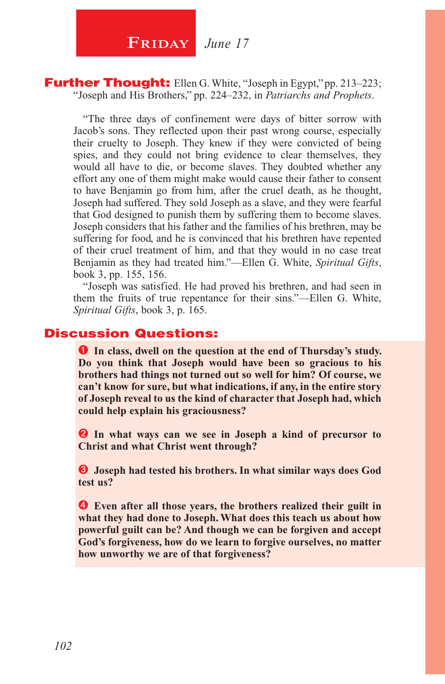

#### **Further Thought:** Ellen G. White, "Joseph in Egypt," pp. 213–223; "Joseph and His Brothers," pp. 224–232, in *Patriarchs and Prophets*.

"The three days of confinement were days of bitter sorrow with Jacob's sons. They reflected upon their past wrong course, especially their cruelty to Joseph. They knew if they were convicted of being spies, and they could not bring evidence to clear themselves, they would all have to die, or become slaves. They doubted whether any effort any one of them might make would cause their father to consent to have Benjamin go from him, after the cruel death, as he thought, Joseph had suffered. They sold Joseph as a slave, and they were fearful that God designed to punish them by suffering them to become slaves. Joseph considers that his father and the families of his brethren, may be suffering for food, and he is convinced that his brethren have repented of their cruel treatment of him, and that they would in no case treat Benjamin as they had treated him."—Ellen G. White, *Spiritual Gifts*, book 3, pp. 155, 156.

"Joseph was satisfied. He had proved his brethren, and had seen in them the fruits of true repentance for their sins."—Ellen G. White, *Spiritual Gifts*, book 3, p. 165.

### Discussion Questions:

**In class, dwell on the question at the end of Thursday's study. Do you think that Joseph would have been so gracious to his brothers had things not turned out so well for him? Of course, we can't know for sure, but what indications, if any, in the entire story of Joseph reveal to us the kind of character that Joseph had, which could help explain his graciousness?**

 **In what ways can we see in Joseph a kind of precursor to Christ and what Christ went through?**

 **Joseph had tested his brothers. In what similar ways does God test us?**

 **Even after all those years, the brothers realized their guilt in what they had done to Joseph. What does this teach us about how powerful guilt can be? And though we can be forgiven and accept God's forgiveness, how do we learn to forgive ourselves, no matter how unworthy we are of that forgiveness?**